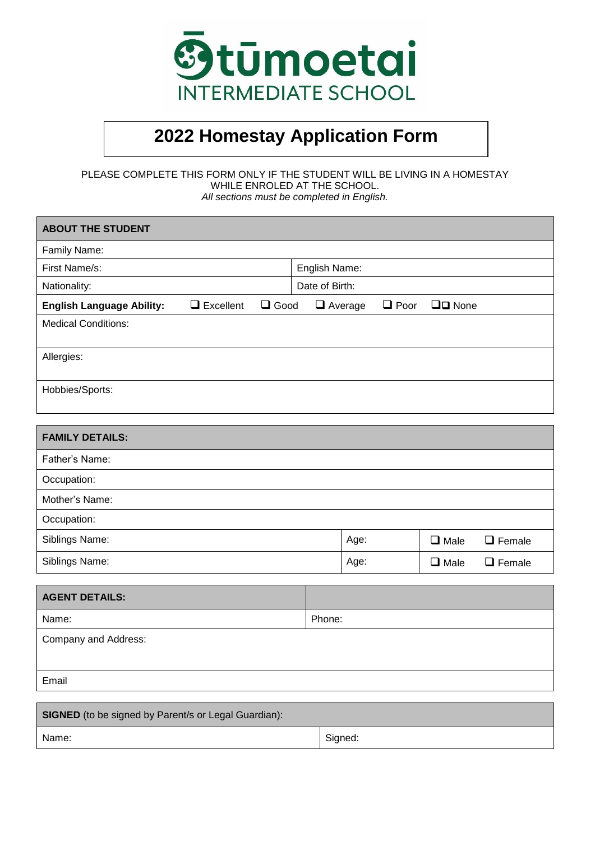

# **2022 Homestay Application Form**

PLEASE COMPLETE THIS FORM ONLY IF THE STUDENT WILL BE LIVING IN A HOMESTAY WHILE ENROLED AT THE SCHOOL. *All sections must be completed in English.*

| <b>ABOUT THE STUDENT</b>         |                  |             |                |                |             |                 |               |
|----------------------------------|------------------|-------------|----------------|----------------|-------------|-----------------|---------------|
| Family Name:                     |                  |             |                |                |             |                 |               |
| First Name/s:                    |                  |             |                | English Name:  |             |                 |               |
| Nationality:                     |                  |             | Date of Birth: |                |             |                 |               |
| <b>English Language Ability:</b> | $\Box$ Excellent | $\Box$ Good |                | $\Box$ Average | $\Box$ Poor | $\Box$ $D$ None |               |
| <b>Medical Conditions:</b>       |                  |             |                |                |             |                 |               |
| Allergies:                       |                  |             |                |                |             |                 |               |
| Hobbies/Sports:                  |                  |             |                |                |             |                 |               |
| <b>FAMILY DETAILS:</b>           |                  |             |                |                |             |                 |               |
|                                  |                  |             |                |                |             |                 |               |
| Father's Name:                   |                  |             |                |                |             |                 |               |
| Occupation:                      |                  |             |                |                |             |                 |               |
| Mother's Name:                   |                  |             |                |                |             |                 |               |
| Occupation:                      |                  |             |                |                |             |                 |               |
| Siblings Name:                   |                  |             |                | Age:           |             | $\Box$ Male     | $\Box$ Female |
| Siblings Name:                   |                  |             |                | Age:           |             | $\square$ Male  | $\Box$ Female |
|                                  |                  |             |                |                |             |                 |               |
| <b>AGENT DETAILS:</b>            |                  |             |                |                |             |                 |               |
| Name:                            |                  |             | Phone:         |                |             |                 |               |
| Company and Address:             |                  |             |                |                |             |                 |               |

Email

| <b>SIGNED</b> (to be signed by Parent/s or Legal Guardian): |         |  |  |  |  |
|-------------------------------------------------------------|---------|--|--|--|--|
| Name:                                                       | Signed: |  |  |  |  |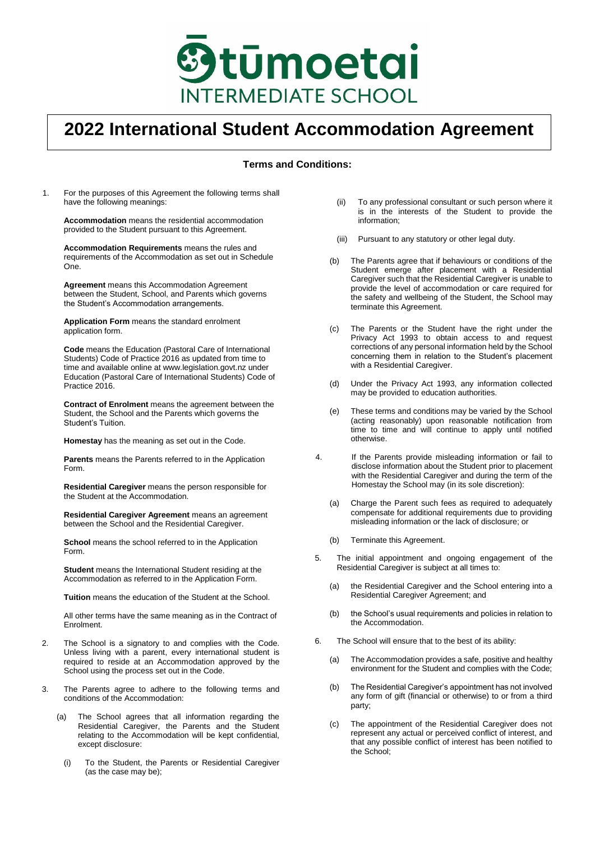

# **2022 International Student Accommodation Agreement**

### **Terms and Conditions:**

1. For the purposes of this Agreement the following terms shall have the following meanings:

**Accommodation** means the residential accommodation provided to the Student pursuant to this Agreement.

**Accommodation Requirements** means the rules and requirements of the Accommodation as set out in Schedule One.

**Agreement** means this Accommodation Agreement between the Student, School, and Parents which governs the Student's Accommodation arrangements.

**Application Form** means the standard enrolment application form.

**Code** means the Education (Pastoral Care of International Students) Code of Practice 2016 as updated from time to time and available online at www.legislation.govt.nz under Education (Pastoral Care of International Students) Code of Practice 2016.

**Contract of Enrolment** means the agreement between the Student, the School and the Parents which governs the Student's Tuition.

**Homestay** has the meaning as set out in the Code.

**Parents** means the Parents referred to in the Application Form.

**Residential Caregiver** means the person responsible for the Student at the Accommodation.

**Residential Caregiver Agreement** means an agreement between the School and the Residential Caregiver.

**School** means the school referred to in the Application Form.

**Student** means the International Student residing at the Accommodation as referred to in the Application Form.

**Tuition** means the education of the Student at the School.

All other terms have the same meaning as in the Contract of Enrolment.

- 2. The School is a signatory to and complies with the Code. Unless living with a parent, every international student is required to reside at an Accommodation approved by the School using the process set out in the Code.
- 3. The Parents agree to adhere to the following terms and conditions of the Accommodation:
	- (a) The School agrees that all information regarding the Residential Caregiver, the Parents and the Student relating to the Accommodation will be kept confidential, except disclosure:
		- (i) To the Student, the Parents or Residential Caregiver (as the case may be);
- (ii) To any professional consultant or such person where it is in the interests of the Student to provide the information;
- (iii) Pursuant to any statutory or other legal duty.
- (b) The Parents agree that if behaviours or conditions of the Student emerge after placement with a Residential Caregiver such that the Residential Caregiver is unable to provide the level of accommodation or care required for the safety and wellbeing of the Student, the School may terminate this Agreement.
- (c) The Parents or the Student have the right under the Privacy Act 1993 to obtain access to and request corrections of any personal information held by the School concerning them in relation to the Student's placement with a Residential Caregiver.
- (d) Under the Privacy Act 1993, any information collected may be provided to education authorities.
- (e) These terms and conditions may be varied by the School (acting reasonably) upon reasonable notification from time to time and will continue to apply until notified otherwise.
- 4. If the Parents provide misleading information or fail to disclose information about the Student prior to placement with the Residential Caregiver and during the term of the Homestay the School may (in its sole discretion):
	- (a) Charge the Parent such fees as required to adequately compensate for additional requirements due to providing misleading information or the lack of disclosure; or
	- (b) Terminate this Agreement.
- 5. The initial appointment and ongoing engagement of the Residential Caregiver is subject at all times to:
	- (a) the Residential Caregiver and the School entering into a Residential Caregiver Agreement; and
	- (b) the School's usual requirements and policies in relation to the Accommodation.
- 6. The School will ensure that to the best of its ability:
	- (a) The Accommodation provides a safe, positive and healthy environment for the Student and complies with the Code;
	- (b) The Residential Caregiver's appointment has not involved any form of gift (financial or otherwise) to or from a third party;
	- (c) The appointment of the Residential Caregiver does not represent any actual or perceived conflict of interest, and that any possible conflict of interest has been notified to the School;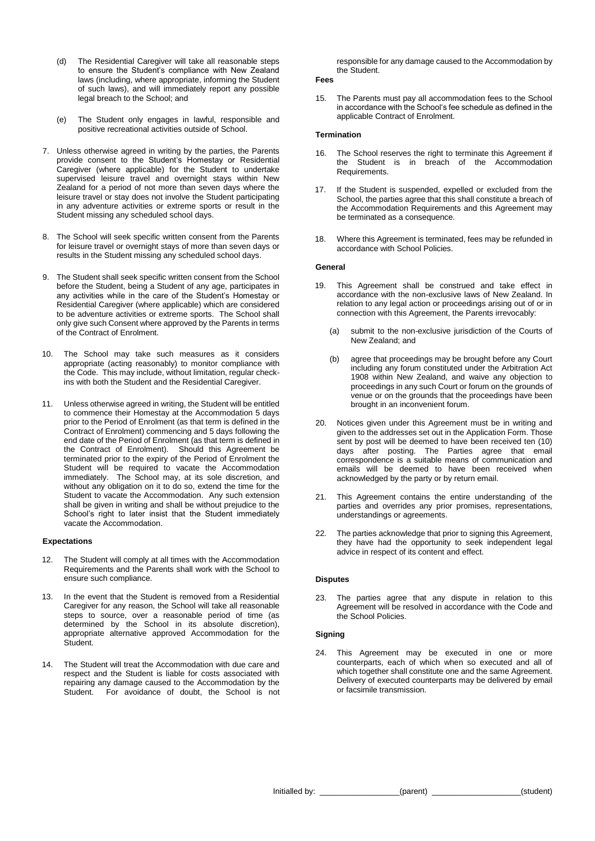- (d) The Residential Caregiver will take all reasonable steps to ensure the Student's compliance with New Zealand laws (including, where appropriate, informing the Student of such laws), and will immediately report any possible legal breach to the School; and
- (e) The Student only engages in lawful, responsible and positive recreational activities outside of School.
- 7. Unless otherwise agreed in writing by the parties, the Parents provide consent to the Student's Homestay or Residential Caregiver (where applicable) for the Student to undertake supervised leisure travel and overnight stays within New Zealand for a period of not more than seven days where the leisure travel or stay does not involve the Student participating in any adventure activities or extreme sports or result in the Student missing any scheduled school days.
- 8. The School will seek specific written consent from the Parents for leisure travel or overnight stays of more than seven days or results in the Student missing any scheduled school days.
- 9. The Student shall seek specific written consent from the School before the Student, being a Student of any age, participates in any activities while in the care of the Student's Homestay or Residential Caregiver (where applicable) which are considered to be adventure activities or extreme sports. The School shall only give such Consent where approved by the Parents in terms of the Contract of Enrolment.
- 10. The School may take such measures as it considers appropriate (acting reasonably) to monitor compliance with the Code. This may include, without limitation, regular checkins with both the Student and the Residential Caregiver.
- 11. Unless otherwise agreed in writing, the Student will be entitled to commence their Homestay at the Accommodation 5 days prior to the Period of Enrolment (as that term is defined in the Contract of Enrolment) commencing and 5 days following the end date of the Period of Enrolment (as that term is defined in the Contract of Enrolment). Should this Agreement be terminated prior to the expiry of the Period of Enrolment the Student will be required to vacate the Accommodation immediately. The School may, at its sole discretion, and without any obligation on it to do so, extend the time for the Student to vacate the Accommodation. Any such extension shall be given in writing and shall be without prejudice to the School's right to later insist that the Student immediately vacate the Accommodation.

#### **Expectations**

- 12. The Student will comply at all times with the Accommodation Requirements and the Parents shall work with the School to ensure such compliance.
- 13. In the event that the Student is removed from a Residential Caregiver for any reason, the School will take all reasonable steps to source, over a reasonable period of time (as determined by the School in its absolute discretion), appropriate alternative approved Accommodation for the Student.
- The Student will treat the Accommodation with due care and respect and the Student is liable for costs associated with repairing any damage caused to the Accommodation by the Student. For avoidance of doubt, the School is not

responsible for any damage caused to the Accommodation by the Student.

### **Fees**

15. The Parents must pay all accommodation fees to the School in accordance with the School's fee schedule as defined in the applicable Contract of Enrolment.

#### **Termination**

- 16. The School reserves the right to terminate this Agreement if the Student is in breach of the Accommodation Requirements.
- 17. If the Student is suspended, expelled or excluded from the School, the parties agree that this shall constitute a breach of the Accommodation Requirements and this Agreement may be terminated as a consequence.
- 18. Where this Agreement is terminated, fees may be refunded in accordance with School Policies.

#### **General**

- 19. This Agreement shall be construed and take effect in accordance with the non-exclusive laws of New Zealand. In relation to any legal action or proceedings arising out of or in connection with this Agreement, the Parents irrevocably:
	- (a) submit to the non-exclusive jurisdiction of the Courts of New Zealand; and
	- (b) agree that proceedings may be brought before any Court including any forum constituted under the Arbitration Act 1908 within New Zealand, and waive any objection to proceedings in any such Court or forum on the grounds of venue or on the grounds that the proceedings have been brought in an inconvenient forum.
- 20. Notices given under this Agreement must be in writing and given to the addresses set out in the Application Form. Those sent by post will be deemed to have been received ten (10) days after posting. The Parties agree that email correspondence is a suitable means of communication and emails will be deemed to have been received when acknowledged by the party or by return email.
- 21. This Agreement contains the entire understanding of the parties and overrides any prior promises, representations, understandings or agreements.
- 22. The parties acknowledge that prior to signing this Agreement, they have had the opportunity to seek independent legal advice in respect of its content and effect.

#### **Disputes**

23. The parties agree that any dispute in relation to this Agreement will be resolved in accordance with the Code and the School Policies.

#### **Signing**

24. This Agreement may be executed in one or more counterparts, each of which when so executed and all of which together shall constitute one and the same Agreement. Delivery of executed counterparts may be delivered by email or facsimile transmission.